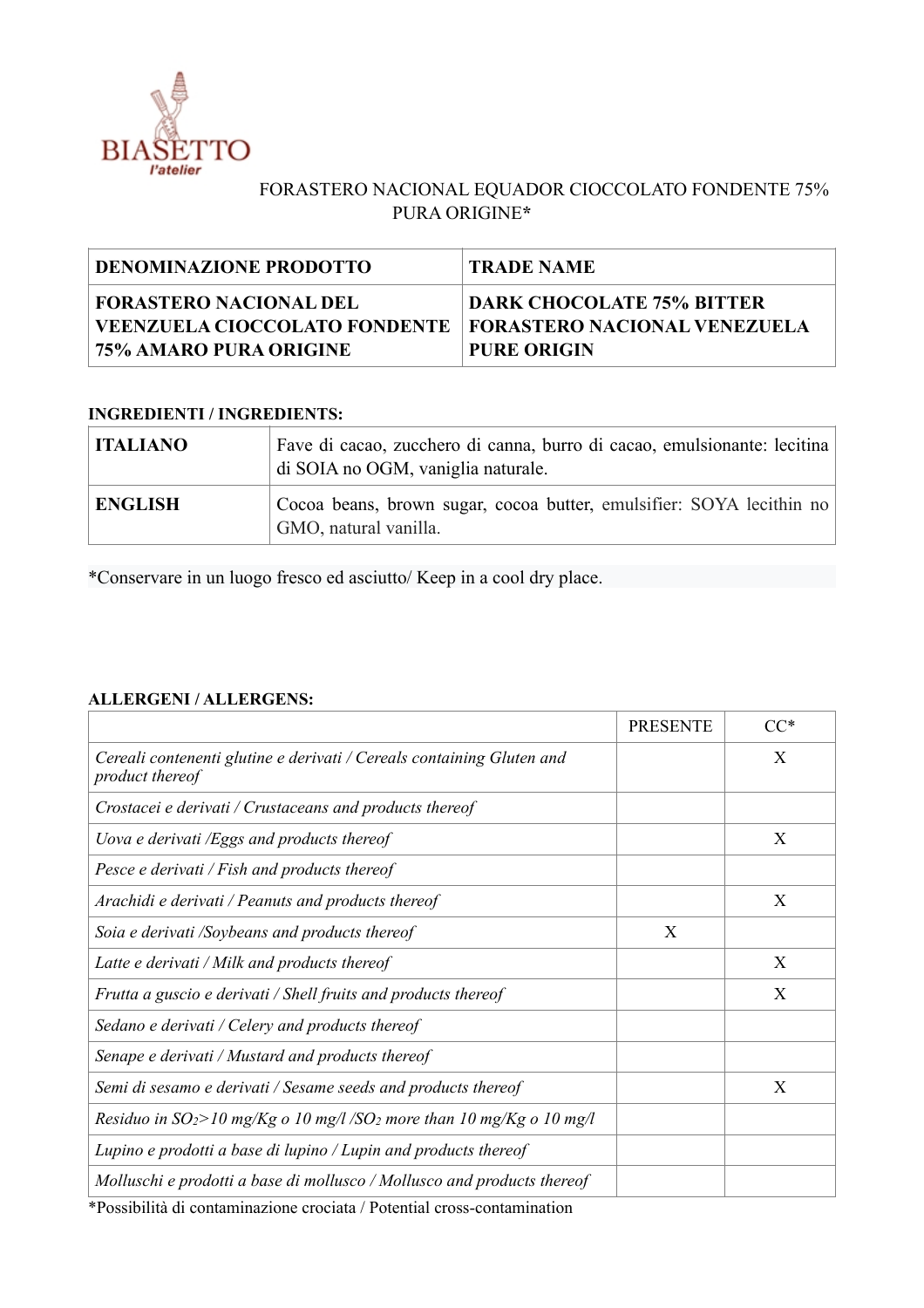

## FORASTERO NACIONAL EQUADOR CIOCCOLATO FONDENTE 75% PURA ORIGINE**\***

| DENOMINAZIONE PRODOTTO                                                                                               | <b>TRADE NAME</b>                                      |
|----------------------------------------------------------------------------------------------------------------------|--------------------------------------------------------|
| FORASTERO NACIONAL DEL<br>  VEENZUELA CIOCCOLATO FONDENTE   FORASTERO NACIONAL VENEZUELA<br>  75% AMARO PURA ORIGINE | <b>DARK CHOCOLATE 75% BITTER</b><br><b>PURE ORIGIN</b> |

## **INGREDIENTI / INGREDIENTS:**

| <b>ITALIANO</b> | Fave di cacao, zucchero di canna, burro di cacao, emulsionante: lecitina<br>di SOIA no OGM, vaniglia naturale. |  |
|-----------------|----------------------------------------------------------------------------------------------------------------|--|
| <b>ENGLISH</b>  | Cocoa beans, brown sugar, cocoa butter, emulsifier: SOYA lecithin no<br>GMO, natural vanilla.                  |  |

\*Conservare in un luogo fresco ed asciutto/ Keep in a cool dry place.

## **ALLERGENI / ALLERGENS:**

|                                                                                                                                                                                                                                                                                                              | <b>PRESENTE</b> | $CC^*$ |
|--------------------------------------------------------------------------------------------------------------------------------------------------------------------------------------------------------------------------------------------------------------------------------------------------------------|-----------------|--------|
| Cereali contenenti glutine e derivati / Cereals containing Gluten and<br>product thereof                                                                                                                                                                                                                     |                 | X      |
| Crostacei e derivati / Crustaceans and products thereof                                                                                                                                                                                                                                                      |                 |        |
| Uova e derivati /Eggs and products thereof                                                                                                                                                                                                                                                                   |                 | X      |
| Pesce e derivati / Fish and products thereof                                                                                                                                                                                                                                                                 |                 |        |
| Arachidi e derivati / Peanuts and products thereof                                                                                                                                                                                                                                                           |                 | X      |
| Soia e derivati /Soybeans and products thereof                                                                                                                                                                                                                                                               | X               |        |
| Latte e derivati / Milk and products thereof                                                                                                                                                                                                                                                                 |                 | X      |
| Frutta a guscio e derivati / Shell fruits and products thereof                                                                                                                                                                                                                                               |                 | X      |
| Sedano e derivati / Celery and products thereof                                                                                                                                                                                                                                                              |                 |        |
| Senape e derivati / Mustard and products thereof                                                                                                                                                                                                                                                             |                 |        |
| Semi di sesamo e derivati / Sesame seeds and products thereof                                                                                                                                                                                                                                                |                 | X      |
| Residuo in $SO_2$ >10 mg/Kg o 10 mg/l /SO <sub>2</sub> more than 10 mg/Kg o 10 mg/l                                                                                                                                                                                                                          |                 |        |
| Lupino e prodotti a base di lupino / Lupin and products thereof                                                                                                                                                                                                                                              |                 |        |
| Molluschi e prodotti a base di mollusco / Mollusco and products thereof<br>$\mathcal{L}$ and the contract of the contract of the contract of the contract of the contract of the contract of the contract of the contract of the contract of the contract of the contract of the contract of the contract of |                 |        |

\*Possibilità di contaminazione crociata / Potential cross-contamination